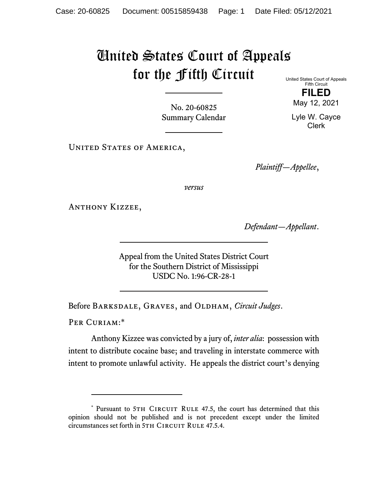## United States Court of Appeals for the Fifth Circuit

United States Court of Appeals Fifth Circuit **FILED** 

May 12, 2021

Lyle W. Cayce Clerk

No. 20-60825 Summary Calendar

UNITED STATES OF AMERICA,

*Plaintiff—Appellee*,

*versus*

Anthony Kizzee,

*Defendant—Appellant*.

Appeal from the United States District Court for the Southern District of Mississippi USDC No. 1:96-CR-28-1

Before BARKSDALE, GRAVES, and OLDHAM, *Circuit Judges*.

PER CURIAM:\*

Anthony Kizzee was convicted by a jury of, *inter alia*: possession with intent to distribute cocaine base; and traveling in interstate commerce with intent to promote unlawful activity. He appeals the district court's denying

<sup>\*</sup> Pursuant to 5TH CIRCUIT RULE 47.5, the court has determined that this opinion should not be published and is not precedent except under the limited circumstances set forth in 5TH CIRCUIT RULE 47.5.4.